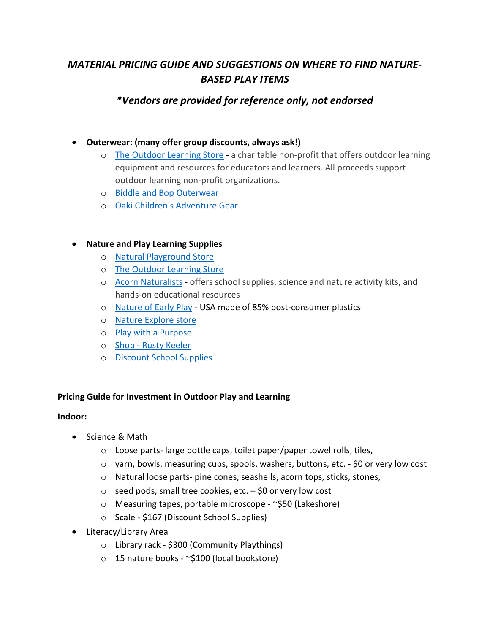# *MATERIAL PRICING GUIDE AND SUGGESTIONS ON WHERE TO FIND NATURE-BASED PLAY ITEMS*

## *\*Vendors are provided for reference only, not endorsed*

## • **Outerwear: (many offer group discounts, always ask!)**

- o [The Outdoor Learning Store](https://outdoorlearningstore.com/) a charitable non-profit that offers outdoor learning equipment and resources for educators and learners. All proceeds support outdoor learning non-profit organizations.
- o [Biddle and Bop Outerwear](https://www.biddleandbop.com/blogs/blog/gear-for-outdoor-school-the-list-with-links)
- o [Oaki Children's Adventure Gear](https://oaki.com/)

## • **Nature and Play Learning Supplies**

- o [Natural Playground Store](https://naturalplaygroundsstore.com/)
- o [The Outdoor Learning Store](https://outdoorlearningstore.com/)
- o [Acorn Naturalists](https://www.acornnaturalists.com/) offers school supplies, science and nature activity kits, and hands-on educational resources
- o [Nature of Early Play](https://natureofearlyplay.com/the-advantage-of-outdoor-classrooms/) USA made of 85% post-consumer plastics
- o [Nature Explore store](http://shop.natureexplore.org/Natural-Products/)
- o [Play with a Purpose](https://www.pwap.com/?gclid=Cj0KCQiAw9qOBhC-ARIsAG-rdn4f9f2X0weF4s47Fx1jV0bFLWEeDiyxSvweNf2oFdhXYVmEuqs2NLIaArAuEALw_wcB)
- o Shop [Rusty Keeler](https://rustykeeler.com/shop/)
- o [Discount School Supplies](https://www.discountschoolsupply.com/?gclid=Cj0KCQiAw9qOBhC-ARIsAG-rdn4N3tAqcr-fA3slrgoYZvceSWnAYK-c8AmY-IkWk2C8iluHGCxeB24aAkqOEALw_wcB)

#### **Pricing Guide for Investment in Outdoor Play and Learning**

#### **Indoor:**

- Science & Math
	- o Loose parts- large bottle caps, toilet paper/paper towel rolls, tiles,
	- $\circ$  yarn, bowls, measuring cups, spools, washers, buttons, etc. \$0 or very low cost
	- o Natural loose parts- pine cones, seashells, acorn tops, sticks, stones,
	- $\circ$  seed pods, small tree cookies, etc.  $-\xi$ 0 or very low cost
	- o Measuring tapes, portable microscope ~\$50 (Lakeshore)
	- o Scale \$167 (Discount School Supplies)
- Literacy/Library Area
	- o Library rack \$300 (Community Playthings)
	- o 15 nature books ~\$100 (local bookstore)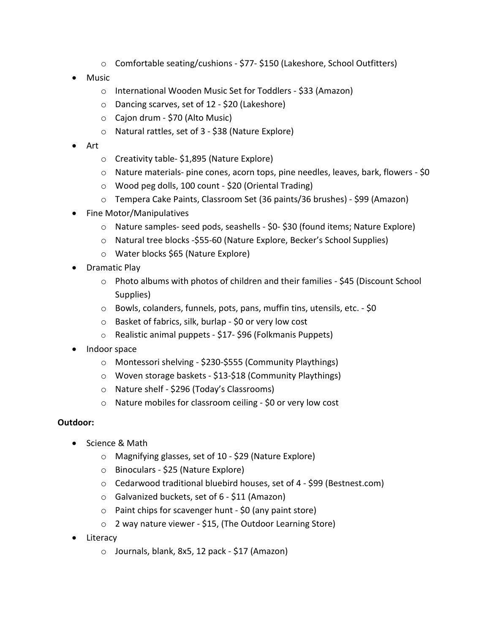- o Comfortable seating/cushions \$77- \$150 (Lakeshore, School Outfitters)
- Music
	- o International Wooden Music Set for Toddlers \$33 (Amazon)
	- o Dancing scarves, set of 12 \$20 (Lakeshore)
	- o Cajon drum \$70 (Alto Music)
	- o Natural rattles, set of 3 \$38 (Nature Explore)
- Art
	- o Creativity table- \$1,895 (Nature Explore)
	- $\circ$  Nature materials- pine cones, acorn tops, pine needles, leaves, bark, flowers \$0
	- o Wood peg dolls, 100 count \$20 (Oriental Trading)
	- o Tempera Cake Paints, Classroom Set (36 paints/36 brushes) \$99 (Amazon)
- Fine Motor/Manipulatives
	- o Nature samples- seed pods, seashells \$0- \$30 (found items; Nature Explore)
	- o Natural tree blocks -\$55-60 (Nature Explore, Becker's School Supplies)
	- o Water blocks \$65 (Nature Explore)
- Dramatic Play
	- o Photo albums with photos of children and their families \$45 (Discount School Supplies)
	- o Bowls, colanders, funnels, pots, pans, muffin tins, utensils, etc. \$0
	- o Basket of fabrics, silk, burlap \$0 or very low cost
	- o Realistic animal puppets \$17- \$96 (Folkmanis Puppets)
- Indoor space
	- o Montessori shelving \$230-\$555 (Community Playthings)
	- o Woven storage baskets \$13-\$18 (Community Playthings)
	- o Nature shelf \$296 (Today's Classrooms)
	- o Nature mobiles for classroom ceiling \$0 or very low cost

#### **Outdoor:**

- Science & Math
	- o Magnifying glasses, set of 10 \$29 (Nature Explore)
	- o Binoculars \$25 (Nature Explore)
	- o Cedarwood traditional bluebird houses, set of 4 \$99 (Bestnest.com)
	- o Galvanized buckets, set of 6 \$11 (Amazon)
	- o Paint chips for scavenger hunt \$0 (any paint store)
	- o 2 way nature viewer \$15, (The Outdoor Learning Store)
- Literacy
	- o Journals, blank, 8x5, 12 pack \$17 (Amazon)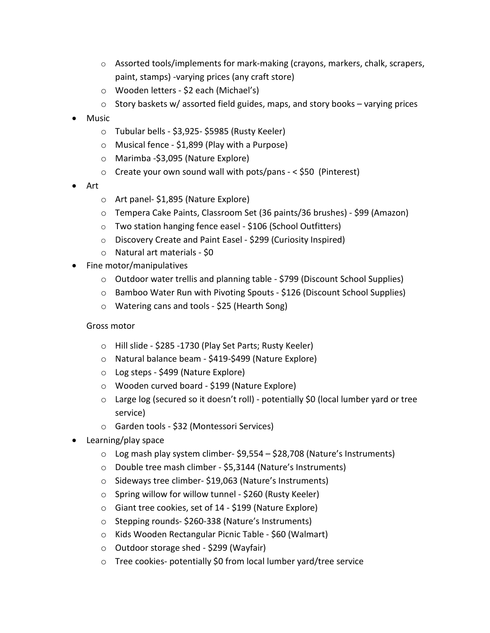- $\circ$  Assorted tools/implements for mark-making (crayons, markers, chalk, scrapers, paint, stamps) -varying prices (any craft store)
- o Wooden letters \$2 each (Michael's)
- $\circ$  Story baskets w/ assorted field guides, maps, and story books varying prices
- Music
	- o Tubular bells \$3,925- \$5985 (Rusty Keeler)
	- o Musical fence \$1,899 (Play with a Purpose)
	- o Marimba -\$3,095 (Nature Explore)
	- $\circ$  Create your own sound wall with pots/pans < \$50 (Pinterest)
- Art
	- o Art panel- \$1,895 (Nature Explore)
	- o Tempera Cake Paints, Classroom Set (36 paints/36 brushes) \$99 (Amazon)
	- o Two station hanging fence easel \$106 (School Outfitters)
	- o Discovery Create and Paint Easel \$299 (Curiosity Inspired)
	- o Natural art materials \$0
- Fine motor/manipulatives
	- o Outdoor water trellis and planning table \$799 (Discount School Supplies)
	- o Bamboo Water Run with Pivoting Spouts \$126 (Discount School Supplies)
	- o Watering cans and tools \$25 (Hearth Song)

#### Gross motor

- o Hill slide \$285 -1730 (Play Set Parts; Rusty Keeler)
- o Natural balance beam \$419-\$499 (Nature Explore)
- o Log steps \$499 (Nature Explore)
- o Wooden curved board \$199 (Nature Explore)
- $\circ$  Large log (secured so it doesn't roll) potentially \$0 (local lumber yard or tree service)
- o Garden tools \$32 (Montessori Services)
- Learning/play space
	- o Log mash play system climber- \$9,554 \$28,708 (Nature's Instruments)
	- o Double tree mash climber \$5,3144 (Nature's Instruments)
	- o Sideways tree climber- \$19,063 (Nature's Instruments)
	- o Spring willow for willow tunnel \$260 (Rusty Keeler)
	- o Giant tree cookies, set of 14 \$199 (Nature Explore)
	- o Stepping rounds- \$260-338 (Nature's Instruments)
	- o Kids Wooden Rectangular Picnic Table \$60 (Walmart)
	- o Outdoor storage shed \$299 (Wayfair)
	- o Tree cookies- potentially \$0 from local lumber yard/tree service